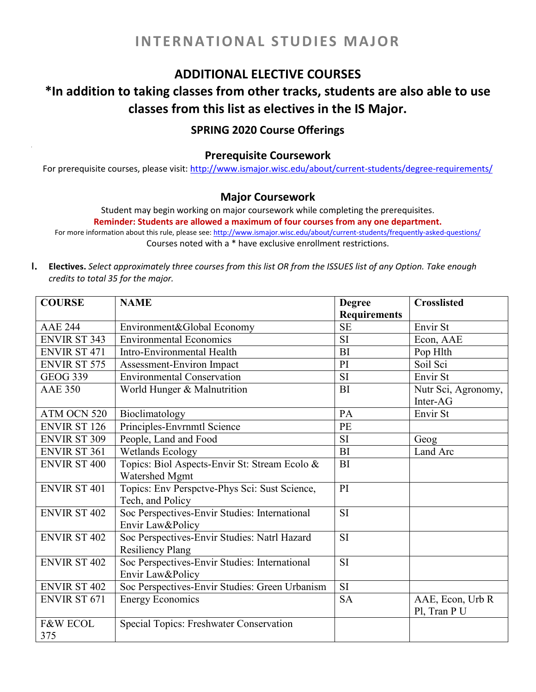# **ADDITIONAL ELECTIVE COURSES**

# **\*In addition to taking classes from other tracks, students are also able to use classes from this list as electives in the IS Major.**

# **SPRING 2020 Course Offerings**

### **Prerequisite Coursework**

For prerequisite courses, please visit: <http://www.ismajor.wisc.edu/about/current-students/degree-requirements/>

## **Major Coursework**

Student may begin working on major coursework while completing the prerequisites.

**Reminder: Students are allowed a maximum of four courses from any one department.** For more information about this rule, please see: <http://www.ismajor.wisc.edu/about/current-students/frequently-asked-questions/>

Courses noted with a \* have exclusive enrollment restrictions.

I. Electives. Select approximately three courses from this list OR from the ISSUES list of any Option. Take enough *credits to total 35 for the major.*

| <b>COURSE</b>       | <b>NAME</b>                                    | <b>Degree</b>       | <b>Crosslisted</b>  |
|---------------------|------------------------------------------------|---------------------|---------------------|
|                     |                                                | <b>Requirements</b> |                     |
| <b>AAE 244</b>      | Environment&Global Economy                     | <b>SE</b>           | Envir St            |
| <b>ENVIR ST 343</b> | <b>Environmental Economics</b>                 | <b>SI</b>           | Econ, AAE           |
| <b>ENVIR ST 471</b> | Intro-Environmental Health                     | <b>BI</b>           | Pop Hlth            |
| <b>ENVIR ST 575</b> | Assessment-Environ Impact                      | PI                  | Soil Sci            |
| <b>GEOG 339</b>     | <b>Environmental Conservation</b>              | <b>SI</b>           | Envir St            |
| <b>AAE 350</b>      | World Hunger & Malnutrition                    | <b>BI</b>           | Nutr Sci, Agronomy, |
|                     |                                                |                     | Inter-AG            |
| ATM OCN 520         | Bioclimatology                                 | PA                  | Envir St            |
| <b>ENVIR ST 126</b> | Principles-Envrnmtl Science                    | PE                  |                     |
| <b>ENVIR ST 309</b> | People, Land and Food                          | SI                  | Geog                |
| <b>ENVIR ST 361</b> | <b>Wetlands Ecology</b>                        | <b>BI</b>           | Land Arc            |
| <b>ENVIR ST 400</b> | Topics: Biol Aspects-Envir St: Stream Ecolo &  | <b>BI</b>           |                     |
|                     | Watershed Mgmt                                 |                     |                     |
| <b>ENVIR ST 401</b> | Topics: Env Perspctve-Phys Sci: Sust Science,  | PI                  |                     |
|                     | Tech, and Policy                               |                     |                     |
| <b>ENVIR ST 402</b> | Soc Perspectives-Envir Studies: International  | <b>SI</b>           |                     |
|                     | Envir Law&Policy                               |                     |                     |
| <b>ENVIR ST 402</b> | Soc Perspectives-Envir Studies: Natrl Hazard   | <b>SI</b>           |                     |
|                     | <b>Resiliency Plang</b>                        |                     |                     |
| <b>ENVIR ST 402</b> | Soc Perspectives-Envir Studies: International  | SI                  |                     |
|                     | Envir Law&Policy                               |                     |                     |
| <b>ENVIR ST 402</b> | Soc Perspectives-Envir Studies: Green Urbanism | $\overline{SI}$     |                     |
| <b>ENVIR ST 671</b> | <b>Energy Economics</b>                        | <b>SA</b>           | AAE, Econ, Urb R    |
|                     |                                                |                     | Pl, Tran P U        |
| <b>F&amp;W ECOL</b> | Special Topics: Freshwater Conservation        |                     |                     |
| 375                 |                                                |                     |                     |